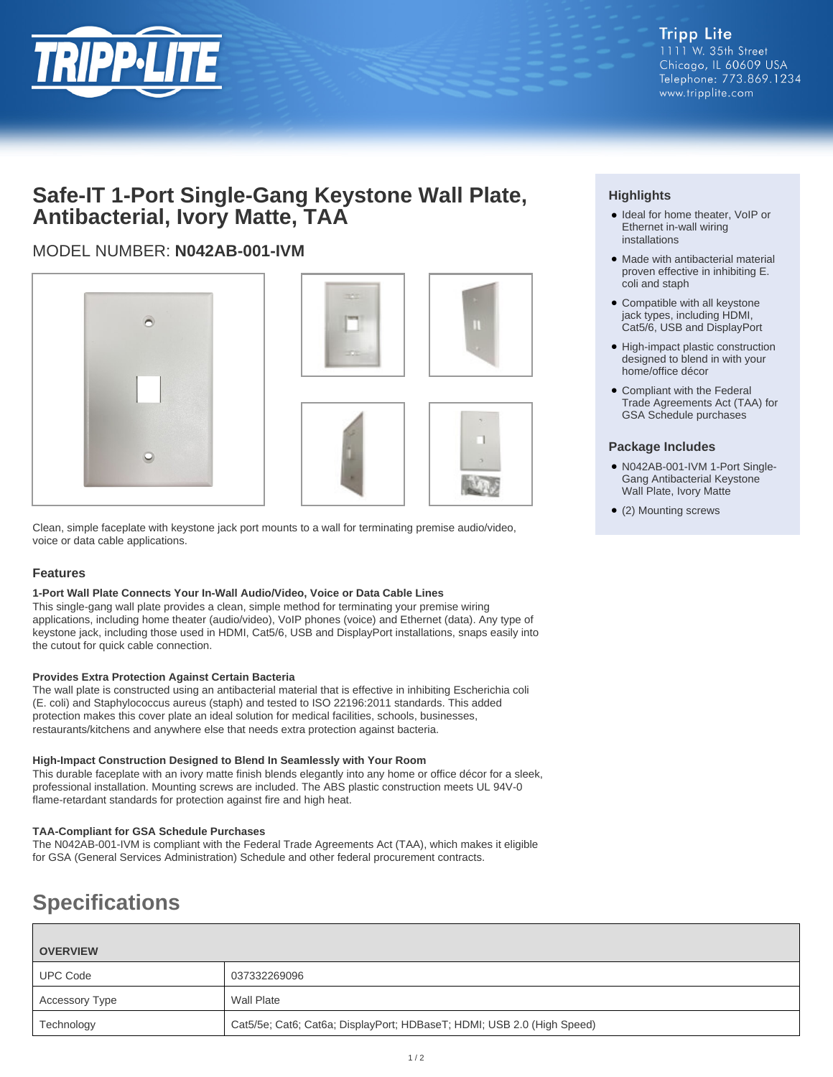

## **Safe-IT 1-Port Single-Gang Keystone Wall Plate, Antibacterial, Ivory Matte, TAA**

## MODEL NUMBER: **N042AB-001-IVM**





Clean, simple faceplate with keystone jack port mounts to a wall for terminating premise audio/video, voice or data cable applications.

#### **Features**

#### **1-Port Wall Plate Connects Your In-Wall Audio/Video, Voice or Data Cable Lines**

This single-gang wall plate provides a clean, simple method for terminating your premise wiring applications, including home theater (audio/video), VoIP phones (voice) and Ethernet (data). Any type of keystone jack, including those used in HDMI, Cat5/6, USB and DisplayPort installations, snaps easily into the cutout for quick cable connection.

#### **Provides Extra Protection Against Certain Bacteria**

The wall plate is constructed using an antibacterial material that is effective in inhibiting Escherichia coli (E. coli) and Staphylococcus aureus (staph) and tested to ISO 22196:2011 standards. This added protection makes this cover plate an ideal solution for medical facilities, schools, businesses, restaurants/kitchens and anywhere else that needs extra protection against bacteria.

#### **High-Impact Construction Designed to Blend In Seamlessly with Your Room**

This durable faceplate with an ivory matte finish blends elegantly into any home or office décor for a sleek, professional installation. Mounting screws are included. The ABS plastic construction meets UL 94V-0 flame-retardant standards for protection against fire and high heat.

#### **TAA-Compliant for GSA Schedule Purchases**

The N042AB-001-IVM is compliant with the Federal Trade Agreements Act (TAA), which makes it eligible for GSA (General Services Administration) Schedule and other federal procurement contracts.

# **Specifications**

| <b>OVERVIEW</b> |                                                                        |
|-----------------|------------------------------------------------------------------------|
| <b>UPC Code</b> | 037332269096                                                           |
| Accessory Type  | Wall Plate                                                             |
| Technology      | Cat5/5e; Cat6; Cat6a; DisplayPort; HDBaseT; HDMI; USB 2.0 (High Speed) |

### **Highlights**

- Ideal for home theater, VoIP or Ethernet in-wall wiring installations
- Made with antibacterial material proven effective in inhibiting E. coli and staph
- Compatible with all keystone jack types, including HDMI, Cat5/6, USB and DisplayPort
- High-impact plastic construction designed to blend in with your home/office décor
- Compliant with the Federal Trade Agreements Act (TAA) for GSA Schedule purchases

#### **Package Includes**

- N042AB-001-IVM 1-Port Single-Gang Antibacterial Keystone Wall Plate, Ivory Matte
- (2) Mounting screws